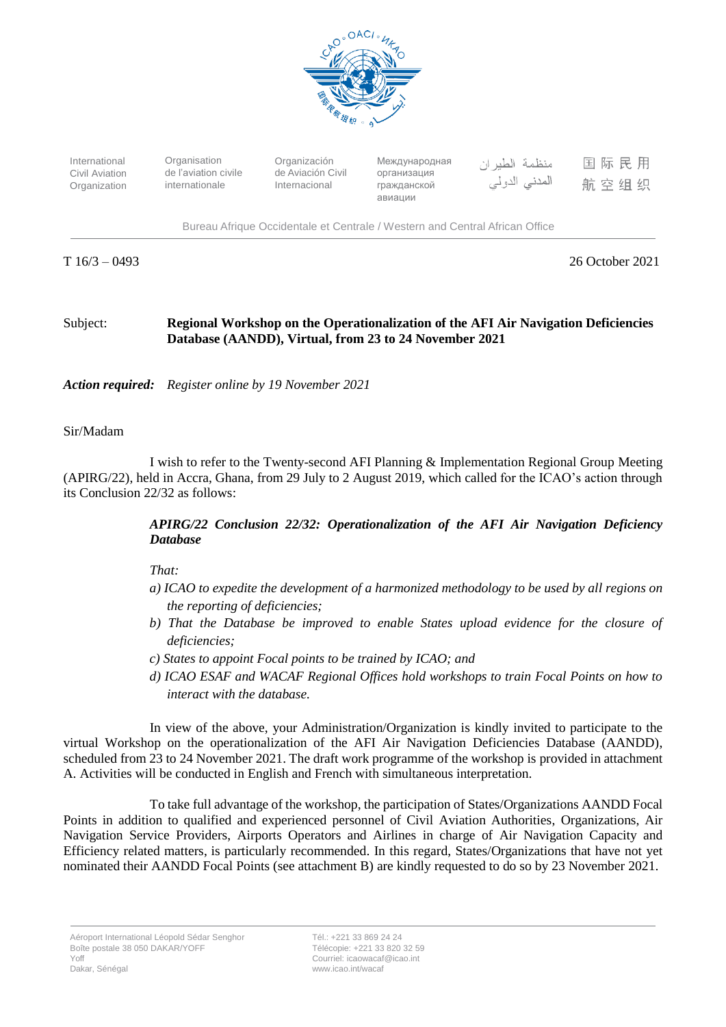

International Civil Aviation Organization

**Organisation** de l'aviation civile internationale

Organización de Aviación Civil Internacional

Международная организация гражданской авиации

منظمة الطير ان المدنى الدولي

|  | 国际民用 |  |
|--|------|--|
|  | 航空组织 |  |

Bureau Afrique Occidentale et Centrale / Western and Central African Office

T 16/3 – 0493 26 October 2021

## Subject: **Regional Workshop on the Operationalization of the AFI Air Navigation Deficiencies Database (AANDD), Virtual, from 23 to 24 November 2021**

*Action required: Register online by 19 November 2021*

## Sir/Madam

I wish to refer to the Twenty-second AFI Planning & Implementation Regional Group Meeting (APIRG/22), held in Accra, Ghana, from 29 July to 2 August 2019, which called for the ICAO's action through its Conclusion 22/32 as follows:

## *APIRG/22 Conclusion 22/32: Operationalization of the AFI Air Navigation Deficiency Database*

*That:* 

- *a) ICAO to expedite the development of a harmonized methodology to be used by all regions on the reporting of deficiencies;*
- *b)* That the Database be improved to enable States upload evidence for the closure of *deficiencies;*
- *c) States to appoint Focal points to be trained by ICAO; and*
- *d) ICAO ESAF and WACAF Regional Offices hold workshops to train Focal Points on how to interact with the database.*

In view of the above, your Administration/Organization is kindly invited to participate to the virtual Workshop on the operationalization of the AFI Air Navigation Deficiencies Database (AANDD), scheduled from 23 to 24 November 2021. The draft work programme of the workshop is provided in attachment A. Activities will be conducted in English and French with simultaneous interpretation.

To take full advantage of the workshop, the participation of States/Organizations AANDD Focal Points in addition to qualified and experienced personnel of Civil Aviation Authorities, Organizations, Air Navigation Service Providers, Airports Operators and Airlines in charge of Air Navigation Capacity and Efficiency related matters, is particularly recommended. In this regard, States/Organizations that have not yet nominated their AANDD Focal Points (see attachment B) are kindly requested to do so by 23 November 2021.